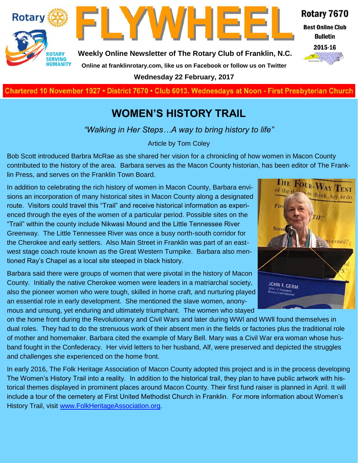

**LYWHEE** 

**Weekly Online Newsletter of The Rotary Club of Franklin, N.C.**

## Rotary 7670

**Best Online Club Bulletin** 



**Online at franklinrotary.com, like us on Facebook or follow us on Twitter**

**Wednesday 22 February, 2017**

**Charted November 29, 1927 • District 7670 • Club 6013 Wednesdays at Noon - First Presbyterian Church**

# **WOMEN'S HISTORY TRAIL**

*"Walking in Her Steps…A way to bring history to life"*

Article by Tom Coley

Bob Scott introduced Barbra McRae as she shared her vision for a chronicling of how women in Macon County contributed to the history of the area. Barbara serves as the Macon County historian, has been editor of The Franklin Press, and serves on the Franklin Town Board.

In addition to celebrating the rich history of women in Macon County, Barbara envisions an incorporation of many historical sites in Macon County along a designated route. Visitors could travel this "Trail" and receive historical information as experienced through the eyes of the women of a particular period. Possible sites on the "Trail" within the county include Nikwasi Mound and the Little Tennessee River Greenway. The Little Tennessee River was once a busy north-south corridor for the Cherokee and early settlers. Also Main Street in Franklin was part of an eastwest stage coach route known as the Great Western Turnpike. Barbara also mentioned Ray's Chapel as a local site steeped in black history.

Barbara said there were groups of women that were pivotal in the history of Macon County. Initially the native Cherokee women were leaders in a matriarchal society, also the pioneer women who were tough, skilled in home craft, and nurturing played an essential role in early development. She mentioned the slave women, anonymous and unsung, yet enduring and ultimately triumphant. The women who stayed



on the home front during the Revolutionary and Civil Wars and later during WWl and WWll found themselves in dual roles. They had to do the strenuous work of their absent men in the fields or factories plus the traditional role of mother and homemaker. Barbara cited the example of Mary Bell. Mary was a Civil War era woman whose husband fought in the Confederacy. Her vivid letters to her husband, Alf, were preserved and depicted the struggles and challenges she experienced on the home front.

In early 2016, The Folk Heritage Association of Macon County adopted this project and is in the process developing The Women's History Trail into a reality. In addition to the historical trail, they plan to have public artwork with historical themes displayed in prominent places around Macon County. Their first fund raiser is planned in April. It will include a tour of the cemetery at First United Methodist Church in Franklin. For more information about Women's History Trail, visit [www.FolkHeritageAssociation.org.](http://www.FolkHeritageAssociation.org)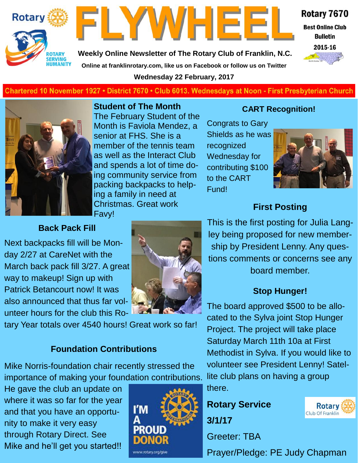



**Weekly Online Newsletter of The Rotary Club of Franklin, N.C. Online at franklinrotary.com, like us on Facebook or follow us on Twitter**

**Wednesday 22 February, 2017**



**Best Online Club Bulletin** 



#### **Charted November 29, 1927 • District 7670 • Club 6013 Wednesdays at Noon - First Presbyterian Church**



**Student of The Month** The February Student of the Month is Faviola Mendez, a senior at FHS. She is a member of the tennis team as well as the Interact Club and spends a lot of time doing community service from packing backpacks to helping a family in need at Christmas. Great work Favy!

#### **CART Recognition!**

Congrats to Gary Shields as he was recognized Wednesday for contributing \$100 to the CART Fund!



# **First Posting**

#### **Back Pack Fill**

Next backpacks fill will be Monday 2/27 at CareNet with the March back pack fill 3/27. A great way to makeup! Sign up with Patrick Betancourt now! It was also announced that thus far volunteer hours for the club this Ro-



tary Year totals over 4540 hours! Great work so far!

#### **Foundation Contributions**

Mike Norris-foundation chair recently stressed the importance of making your foundation contributions.

He gave the club an update on where it was so far for the year and that you have an opportunity to make it very easy through Rotary Direct. See Mike and he'll get you started!!



This is the first posting for Julia Langley being proposed for new membership by President Lenny. Any questions comments or concerns see any board member.

## **Stop Hunger!**

The board approved \$500 to be allocated to the Sylva joint Stop Hunger Project. The project will take place Saturday March 11th 10a at First Methodist in Sylva. If you would like to volunteer see President Lenny! Satellite club plans on having a group there.

**Rotary Service 3/1/17**

Greeter: TBA

Prayer/Pledge: PE Judy Chapman

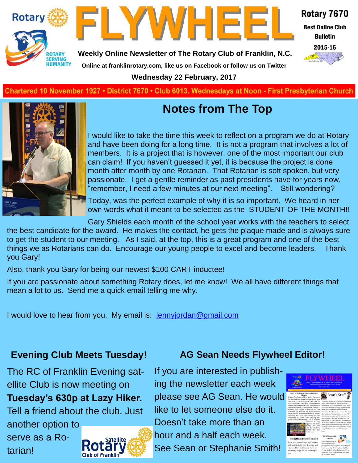



Rotary 7670

**Best Online Club Bulletin** 

2015-16

**Weekly Online Newsletter of The Rotary Club of Franklin, N.C.**

**Online at franklinrotary.com, like us on Facebook or follow us on Twitter**

**Wednesday 22 February, 2017**

**Charted November 29, 1927 • District 7670 • Club 6013 Wednesdays at Noon - First Presbyterian Church**



# **Notes from The Top**

I would like to take the time this week to reflect on a program we do at Rotary and have been doing for a long time. It is not a program that involves a lot of members. It is a project that is however, one of the most important our club can claim! If you haven't guessed it yet, it is because the project is done month after month by one Rotarian. That Rotarian is soft spoken, but very passionate. I get a gentle reminder as past presidents have for years now, "remember, I need a few minutes at our next meeting". Still wondering?

Today, was the perfect example of why it is so important. We heard in her own words what it meant to be selected as the STUDENT OF THE MONTH!!

Gary Shields each month of the school year works with the teachers to select the best candidate for the award. He makes the contact, he gets the plaque made and is always sure to get the student to our meeting. As I said, at the top, this is a great program and one of the best things we as Rotarians can do. Encourage our young people to excel and become leaders. Thank you Gary!

Also, thank you Gary for being our newest \$100 CART inductee!

If you are passionate about something Rotary does, let me know! We all have different things that mean a lot to us. Send me a quick email telling me why.

I would love to hear from you. My email is: [lennyjordan@gmail.com](mailto:lennyjordan@gmail.com)

# **Evening Club Meets Tuesday!**

The RC of Franklin Evening satellite Club is now meeting on **Tuesday's 630p at Lazy Hiker.**  Tell a friend about the club. Just another option to

serve as a Rotarian!



**AG Sean Needs Flywheel Editor!**

If you are interested in publishing the newsletter each week please see AG Sean. He would like to let someone else do it. Doesn't take more than an hour and a half each week. See Sean or Stephanie Smith!

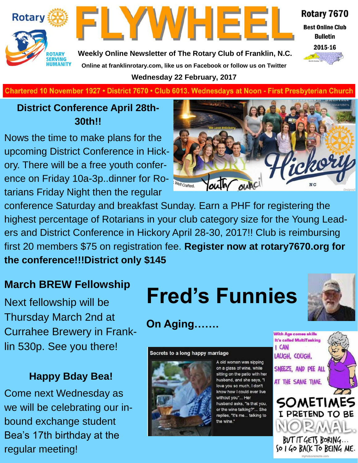



Rotary 7670

**Best Online Club Bulletin** 



**Weekly Online Newsletter of The Rotary Club of Franklin, N.C. Online at franklinrotary.com, like us on Facebook or follow us on Twitter**

**Wednesday 22 February, 2017**

**Charted November 29, 1927 • District 7670 • Club 6013 Wednesdays at Noon - First Presbyterian Church**

# **District Conference April 28th-30th!!**

Nows the time to make plans for the upcoming District Conference in Hickory. There will be a free youth conference on Friday 10a-3p..dinner for Rotarians Friday Night then the regular



conference Saturday and breakfast Sunday. Earn a PHF for registering the highest percentage of Rotarians in your club category size for the Young Leaders and District Conference in Hickory April 28-30, 2017!! Club is reimbursing first 20 members \$75 on registration fee. **Register now at rotary7670.org for the conference!!!District only \$145**

Next fellowship will be Thursday March 2nd at Currahee Brewery in Franklin 530p. See you there!

# **Happy Bday Bea!**

Come next Wednesday as we will be celebrating our inbound exchange student Bea's 17th birthday at the regular meeting!

# **March BREW Fellowship**<br>Next fellowship will be **Fred's Funnies**



**On Aging.** 

Secrets to a long happy marriage



A old woman was sipping on a glass of wine, while sitting on the patio with her husband, and she says, "I love you so much, I don't know how I could ever live without you"... Her husband asks, "Is that you, or the wine talking?"... She replies, "It's me... talking to the wine."



With Age comes skills **It's called MultiTasking**